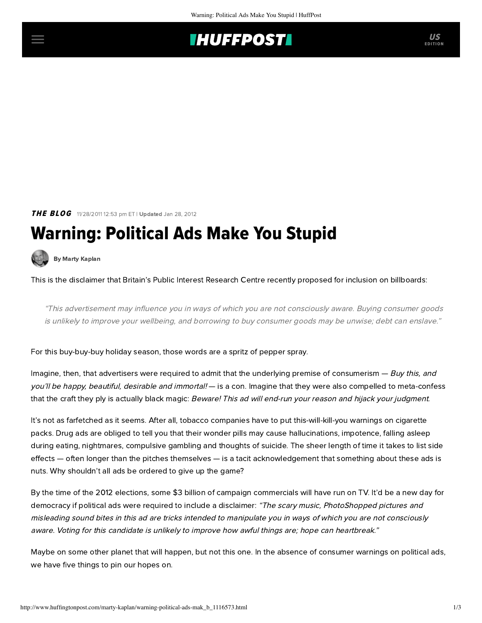## **THUFFPOSTI** US

## THE BLOG 11/28/2011 12:53 pm ET | Updated Jan 28, 2012

# Warning: Political Ads Make You Stupid

[By Marty Kaplan](http://www.huffingtonpost.com/author/marty-kaplan)

This is the disclaimer that Britain's Public Interest Research Centre recently [proposed](http://www.pirc.info/projects/advertising/) for inclusion on billboards:

"This advertisement may influence you in ways of which you are not consciously aware. Buying consumer goods is unlikely to improve your wellbeing, and borrowing to buy consumer goods may be unwise; debt can enslave."

For this buy-buy-buy holiday season, those words are a spritz of pepper spray.

Imagine, then, that advertisers were required to admit that the underlying premise of consumerism — Buy this, and you'll be happy, beautiful, desirable and immortal! — is a con. Imagine that they were also compelled to meta-confess that the craft they ply is actually black magic: Beware! This ad will end-run your reason and hijack your judgment.

It's not as farfetched as it seems. After all, tobacco companies have to put this-will-kill-you warnings on cigarette packs. Drug ads are obliged to tell you that their wonder pills may cause hallucinations, impotence, falling asleep during eating, nightmares, compulsive gambling and thoughts of suicide. The sheer length of time it takes to list side effects — often longer than the pitches themselves — is a tacit acknowledgement that something about these ads is nuts. Why shouldn't all ads be ordered to give up the game?

By the time of the 2012 elections, some [\\$3 billion](http://www.nytimes.com/2011/11/27/us/politics/television-attack-ads-aim-at-obama-early-and-often.html) of campaign commercials will have run on TV. It'd be a new day for democracy if political ads were required to include a disclaimer: "The scary music, PhotoShopped pictures and misleading sound bites in this ad are tricks intended to manipulate you in ways of which you are not consciously aware. Voting for this candidate is unlikely to improve how awful things are; hope can heartbreak."

Maybe on some other planet that will happen, but not this one. In the absence of consumer warnings on political ads, we have five things to pin our hopes on.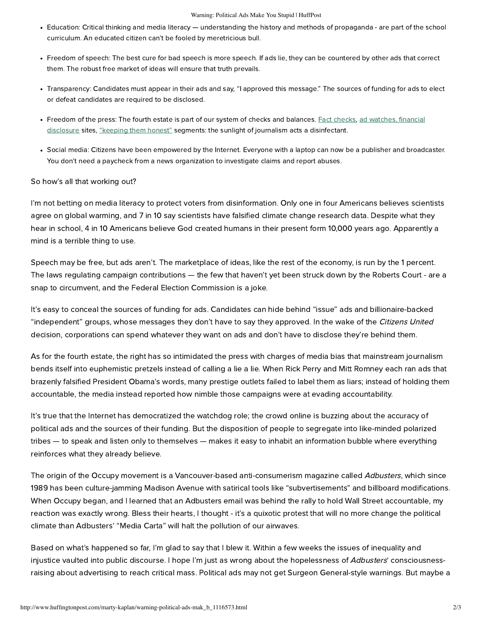#### Warning: Political Ads Make You Stupid | HuffPost

- Education: Critical thinking and media literacy understanding the history and methods of propaganda are part of the school curriculum. An educated citizen can't be fooled by meretricious bull.
- Freedom of speech: The best cure for bad speech is more speech. If ads lie, they can be countered by other ads that correct them. The robust free market of ideas will ensure that truth prevails.
- Transparency: Candidates must appear in their ads and say, "I approved this message." The sources of funding for ads to elect or defeat candidates are required to be disclosed.
- Freedom of the press: The fourth estate is part of our system of checks and balances. [Fact checks](http://www.factcheck.org/), [ad watches,](http://www.politifact.com/) financial [disclosure sites, "keeping them honest" segments: the sunlight of journalism acts a disinfectant.](http://www.opensecrets.org/index.php)
- Social media: Citizens have been empowered by the Internet. Everyone with a laptop can now be a publisher and broadcaster. You don't need a paycheck from a news organization to investigate claims and report abuses.

## So how's all that working out?

I'm not betting on media literacy to protect voters from disinformation. Only [one in four](http://wattsupwiththat.com/2011/08/03/rasmussen-poll-69-say-it) Americans believes scientists agree on global warming, and [7 in 10](http://wattsupwiththat.com/2011/08/03/rasmussen-poll-69-say-it) say scientists have falsified climate change research data. Despite what they hear in school, [4 in 10](http://www.gallup.com/poll/145286/four-americans-believe-strict-creationism.aspx) Americans believe God created humans in their present form 10,000 years ago. Apparently a mind is a terrible thing to use.

Speech may be free, but ads aren't. The marketplace of ideas, like the rest of the economy, is run by the 1 percent. The laws regulating campaign contributions — the few that haven't yet been struck down by the Roberts Court - are a snap to circumvent, and the Federal Election Commission is a joke.

It's easy to conceal the sources of funding for ads. Candidates can hide behind "issue" ads and billionaire-backed "independent" groups, whose messages they don't have to say they approved. In the wake of the Citizens United decision, corporations can spend whatever they want on ads and don't have to disclose they're behind them.

As for the fourth estate, the right has so intimidated the press with charges of media bias that mainstream journalism bends itself into euphemistic pretzels instead of calling a lie a lie. When [Rick Perry](http://www.politifact.com/texas/statements/2011/nov/17/rick-perry/rick-perry-says-barack-obama-thinks-americans-are-/) and [Mitt Romney](http://www.huffingtonpost.com/2011/11/22/mitt-romney-campaign-ad_n_1108631.html) each ran ads that brazenly falsified President Obama's words, many prestige outlets [failed](http://www.salon.com/2011/11/22/objective_press_unable_to_label_dishonest_romney_ad_dishonest/) to label them as liars; instead of holding them accountable, the media instead reported how nimble those campaigns were at evading accountability.

It's true that the Internet has democratized the watchdog role; the crowd online is buzzing about the accuracy of political ads and the sources of their funding. But the disposition of people to segregate into like-minded polarized tribes — to speak and listen only to themselves — makes it easy to inhabit an information bubble where everything reinforces what they already believe.

The origin of the Occupy movement is a Vancouver-based anti-consumerism magazine called [Adbusters](http://www.adbusters.org/), which since 1989 has been culture-jamming Madison Avenue with satirical tools like "subvertisements" and billboard modifications. When Occupy began, and I learned that an Adbusters email was behind the rally to hold Wall Street accountable, my reaction was exactly wrong. Bless their hearts, I thought - it's a quixotic protest that will no more change the political climate than Adbusters' "Media Carta" will halt the pollution of our airwaves.

Based on what's happened so far, I'm glad to say that I blew it. Within a few weeks the issues of inequality and injustice vaulted into public discourse. I hope I'm just as wrong about the hopelessness of Adbusters' consciousnessraising about advertising to reach critical mass. Political ads may not get Surgeon General-style warnings. But maybe a